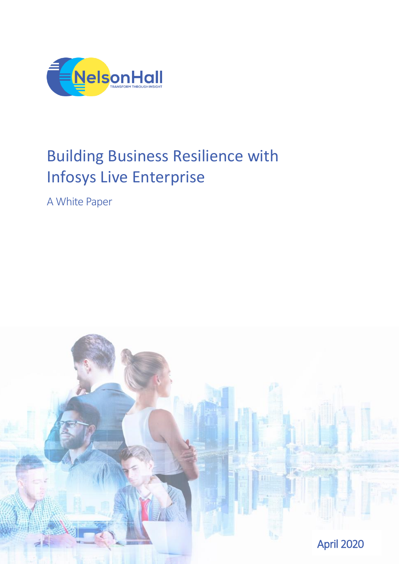

# Building Business Resilience with Infosys Live Enterprise

A White Paper

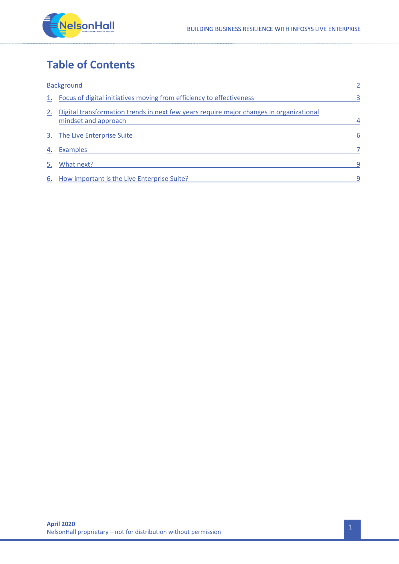

## **Table of Contents**

| <b>Background</b> |                                                                                                                 |   |
|-------------------|-----------------------------------------------------------------------------------------------------------------|---|
|                   | 1. Focus of digital initiatives moving from efficiency to effectiveness                                         | 3 |
|                   | Digital transformation trends in next few years require major changes in organizational<br>mindset and approach | 4 |
|                   | 3. The Live Enterprise Suite                                                                                    | 6 |
| 4.                | <b>Examples</b>                                                                                                 |   |
| 5.                | What next?                                                                                                      | 9 |
|                   | 6. How important is the Live Enterprise Suite?                                                                  | 9 |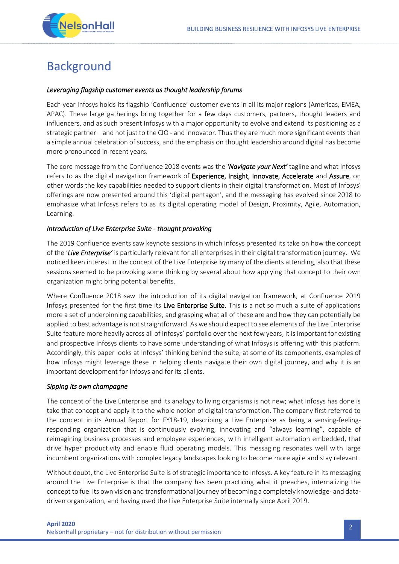

# <span id="page-2-0"></span>Background

#### *Leveraging flagship customer events as thought leadership forums*

Each year Infosys holds its flagship 'Confluence' customer events in all its major regions (Americas, EMEA, APAC). These large gatherings bring together for a few days customers, partners, thought leaders and influencers, and as such present Infosys with a major opportunity to evolve and extend its positioning as a strategic partner – and not just to the CIO - and innovator. Thus they are much more significant events than a simple annual celebration of success, and the emphasis on thought leadership around digital has become more pronounced in recent years.

The core message from the Confluence 2018 events was the *'Navigate your Next'* tagline and what Infosys refers to as the digital navigation framework of Experience, Insight, Innovate, Accelerate and Assure, on other words the key capabilities needed to support clients in their digital transformation. Most of Infosys' offerings are now presented around this 'digital pentagon', and the messaging has evolved since 2018 to emphasize what Infosys refers to as its digital operating model of Design, Proximity, Agile, Automation, Learning.

#### *Introduction of Live Enterprise Suite - thought provoking*

The 2019 Confluence events saw keynote sessions in which Infosys presented its take on how the concept of the '*Live Enterprise'* is particularly relevant for all enterprises in their digital transformation journey. We noticed keen interest in the concept of the Live Enterprise by many of the clients attending, also that these sessions seemed to be provoking some thinking by several about how applying that concept to their own organization might bring potential benefits.

Where Confluence 2018 saw the introduction of its digital navigation framework, at Confluence 2019 Infosys presented for the first time its Live Enterprise Suite. This is a not so much a suite of applications more a set of underpinning capabilities, and grasping what all of these are and how they can potentially be applied to best advantage is not straightforward. As we should expect to see elements of the Live Enterprise Suite feature more heavily across all of Infosys' portfolio over the next few years, it is important for existing and prospective Infosys clients to have some understanding of what Infosys is offering with this platform. Accordingly, this paper looks at Infosys' thinking behind the suite, at some of its components, examples of how Infosys might leverage these in helping clients navigate their own digital journey, and why it is an important development for Infosys and for its clients.

#### *Sipping its own champagne*

The concept of the Live Enterprise and its analogy to living organisms is not new; what Infosys has done is take that concept and apply it to the whole notion of digital transformation. The company first referred to the concept in its Annual Report for FY18-19, describing a Live Enterprise as being a sensing-feelingresponding organization that is continuously evolving, innovating and "always learning", capable of reimagining business processes and employee experiences, with intelligent automation embedded, that drive hyper productivity and enable fluid operating models. This messaging resonates well with large incumbent organizations with complex legacy landscapes looking to become more agile and stay relevant.

Without doubt, the Live Enterprise Suite is of strategic importance to Infosys. A key feature in its messaging around the Live Enterprise is that the company has been practicing what it preaches, internalizing the concept to fuel its own vision and transformational journey of becoming a completely knowledge- and datadriven organization, and having used the Live Enterprise Suite internally since April 2019.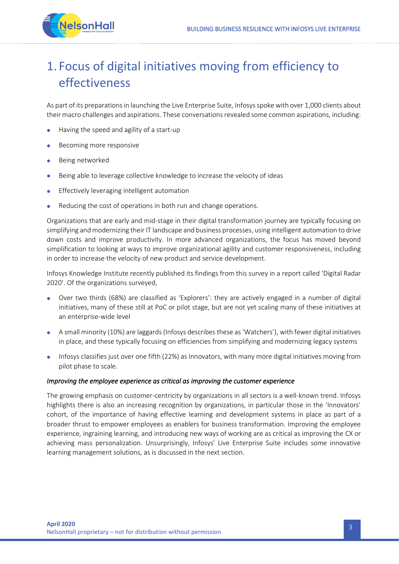

# <span id="page-3-0"></span>1. Focus of digital initiatives moving from efficiency to effectiveness

As part of its preparations in launching the Live Enterprise Suite, Infosys spoke with over 1,000 clients about their macro challenges and aspirations. These conversations revealed some common aspirations, including:

- Having the speed and agility of a start-up
- Becoming more responsive
- Being networked
- Being able to leverage collective knowledge to increase the velocity of ideas
- Effectively leveraging intelligent automation
- Reducing the cost of operations in both run and change operations.

Organizations that are early and mid-stage in their digital transformation journey are typically focusing on simplifying and modernizing their IT landscape and business processes, using intelligent automation to drive down costs and improve productivity. In more advanced organizations, the focus has moved beyond simplification to looking at ways to improve organizational agility and customer responsiveness, including in order to increase the velocity of new product and service development.

Infosys Knowledge Institute recently published its findings from this survey in a report called 'Digital Radar 2020'. Of the organizations surveyed,

- Over two thirds (68%) are classified as 'Explorers': they are actively engaged in a number of digital initiatives, many of these still at PoC or pilot stage, but are not yet scaling many of these initiatives at an enterprise-wide level
- A small minority (10%) are laggards (Infosys describes these as 'Watchers'), with fewer digital initiatives in place, and these typically focusing on efficiencies from simplifying and modernizing legacy systems
- Infosys classifies just over one fifth (22%) as Innovators, with many more digital initiatives moving from pilot phase to scale.

#### *Improving the employee experience as critical as improving the customer experience*

The growing emphasis on customer-centricity by organizations in all sectors is a well-known trend. Infosys highlights there is also an increasing recognition by organizations, in particular those in the 'Innovators' cohort, of the importance of having effective learning and development systems in place as part of a broader thrust to empower employees as enablers for business transformation. Improving the employee experience, ingraining learning, and introducing new ways of working are as critical as improving the CX or achieving mass personalization. Unsurprisingly, Infosys' Live Enterprise Suite includes some innovative learning management solutions, as is discussed in the next section.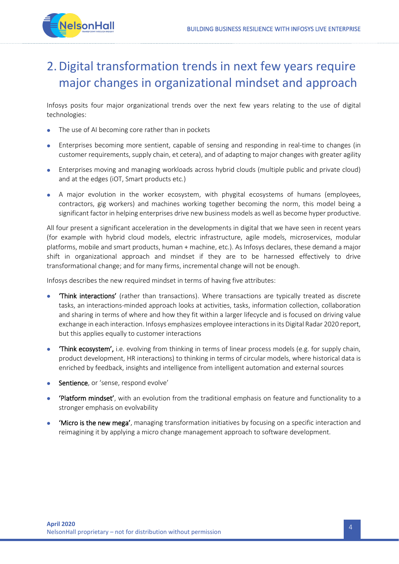

# <span id="page-4-0"></span>2.Digital transformation trends in next few years require major changes in organizational mindset and approach

Infosys posits four major organizational trends over the next few years relating to the use of digital technologies:

- The use of AI becoming core rather than in pockets
- Enterprises becoming more sentient, capable of sensing and responding in real-time to changes (in customer requirements, supply chain, et cetera), and of adapting to major changes with greater agility
- Enterprises moving and managing workloads across hybrid clouds (multiple public and private cloud) and at the edges (iOT, Smart products etc.)
- A major evolution in the worker ecosystem, with phygital ecosystems of humans (employees, contractors, gig workers) and machines working together becoming the norm, this model being a significant factor in helping enterprises drive new business models as well as become hyper productive.

All four present a significant acceleration in the developments in digital that we have seen in recent years (for example with hybrid cloud models, electric infrastructure, agile models, microservices, modular platforms, mobile and smart products, human + machine, etc.). As Infosys declares, these demand a major shift in organizational approach and mindset if they are to be harnessed effectively to drive transformational change; and for many firms, incremental change will not be enough.

Infosys describes the new required mindset in terms of having five attributes:

- 'Think interactions' (rather than transactions). Where transactions are typically treated as discrete tasks, an interactions-minded approach looks at activities, tasks, information collection, collaboration and sharing in terms of where and how they fit within a larger lifecycle and is focused on driving value exchange in each interaction. Infosys emphasizes employee interactionsin its Digital Radar 2020 report, but this applies equally to customer interactions
- 'Think ecosystem', i.e. evolving from thinking in terms of linear process models (e.g. for supply chain, product development, HR interactions) to thinking in terms of circular models, where historical data is enriched by feedback, insights and intelligence from intelligent automation and external sources
- Sentience, or 'sense, respond evolve'
- 'Platform mindset', with an evolution from the traditional emphasis on feature and functionality to a stronger emphasis on evolvability
- 'Micro is the new mega', managing transformation initiatives by focusing on a specific interaction and reimagining it by applying a micro change management approach to software development.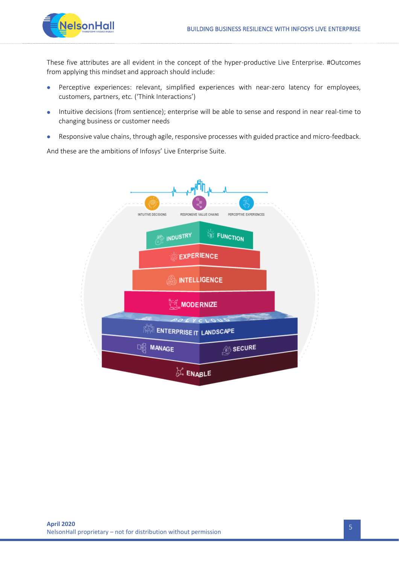

These five attributes are all evident in the concept of the hyper-productive Live Enterprise. #Outcomes from applying this mindset and approach should include:

- Perceptive experiences: relevant, simplified experiences with near-zero latency for employees, customers, partners, etc. ('Think Interactions')
- Intuitive decisions (from sentience); enterprise will be able to sense and respond in near real-time to changing business or customer needs
- Responsive value chains, through agile, responsive processes with guided practice and micro-feedback.

And these are the ambitions of Infosys' Live Enterprise Suite.

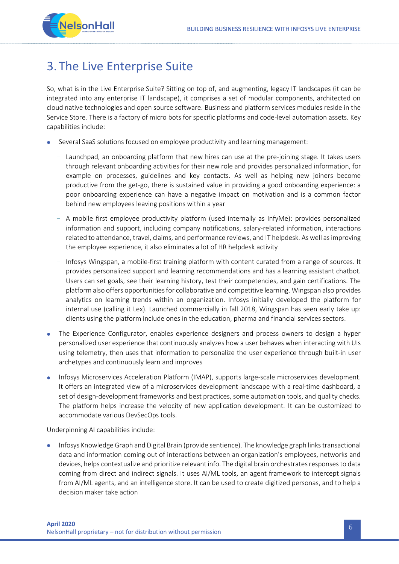

### <span id="page-6-0"></span>3. The Live Enterprise Suite

So, what is in the Live Enterprise Suite? Sitting on top of, and augmenting, legacy IT landscapes (it can be integrated into any enterprise IT landscape), it comprises a set of modular components, architected on cloud native technologies and open source software. Business and platform services modules reside in the Service Store. There is a factory of micro bots for specific platforms and code-level automation assets. Key capabilities include:

- Several SaaS solutions focused on employee productivity and learning management:
	- Launchpad, an onboarding platform that new hires can use at the pre-joining stage. It takes users through relevant onboarding activities for their new role and provides personalized information, for example on processes, guidelines and key contacts. As well as helping new joiners become productive from the get-go, there is sustained value in providing a good onboarding experience: a poor onboarding experience can have a negative impact on motivation and is a common factor behind new employees leaving positions within a year
	- A mobile first employee productivity platform (used internally as InfyMe): provides personalized information and support, including company notifications, salary-related information, interactions related to attendance, travel, claims, and performance reviews, and IT helpdesk. As well as improving the employee experience, it also eliminates a lot of HR helpdesk activity
	- Infosys Wingspan, a mobile-first training platform with content curated from a range of sources. It provides personalized support and learning recommendations and has a learning assistant chatbot. Users can set goals, see their learning history, test their competencies, and gain certifications. The platform also offers opportunities for collaborative and competitive learning. Wingspan also provides analytics on learning trends within an organization. Infosys initially developed the platform for internal use (calling it Lex). Launched commercially in fall 2018, Wingspan has seen early take up: clients using the platform include ones in the education, pharma and financial services sectors.
- The Experience Configurator, enables experience designers and process owners to design a hyper personalized user experience that continuously analyzes how a user behaves when interacting with UIs using telemetry, then uses that information to personalize the user experience through built-in user archetypes and continuously learn and improves
- Infosys Microservices Acceleration Platform (IMAP), supports large-scale microservices development. It offers an integrated view of a microservices development landscape with a real-time dashboard, a set of design-development frameworks and best practices, some automation tools, and quality checks. The platform helps increase the velocity of new application development. It can be customized to accommodate various DevSecOps tools.

Underpinning AI capabilities include:

• Infosys Knowledge Graph and Digital Brain (provide sentience). The knowledge graph links transactional data and information coming out of interactions between an organization's employees, networks and devices, helps contextualize and prioritize relevant info. The digital brain orchestrates responses to data coming from direct and indirect signals. It uses AI/ML tools, an agent framework to intercept signals from AI/ML agents, and an intelligence store. It can be used to create digitized personas, and to help a decision maker take action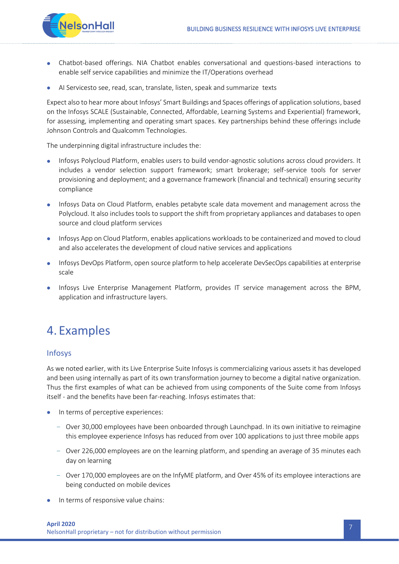

- Chatbot-based offerings. NIA Chatbot enables conversational and questions-based interactions to enable self service capabilities and minimize the IT/Operations overhead
- AI Servicesto see, read, scan, translate, listen, speak and summarize texts

Expect also to hear more about Infosys' Smart Buildings and Spaces offerings of application solutions, based on the Infosys SCALE (Sustainable, Connected, Affordable, Learning Systems and Experiential) framework, for assessing, implementing and operating smart spaces. Key partnerships behind these offerings include Johnson Controls and Qualcomm Technologies.

The underpinning digital infrastructure includes the:

- Infosys Polycloud Platform, enables users to build vendor-agnostic solutions across cloud providers. It includes a vendor selection support framework; smart brokerage; self-service tools for server provisioning and deployment; and a governance framework (financial and technical) ensuring security compliance
- Infosys Data on Cloud Platform, enables petabyte scale data movement and management across the Polycloud. It also includes tools to support the shift from proprietary appliances and databases to open source and cloud platform services
- Infosys App on Cloud Platform, enables applications workloads to be containerized and moved to cloud and also accelerates the development of cloud native services and applications
- Infosys DevOps Platform, open source platform to help accelerate DevSecOps capabilities at enterprise scale
- Infosys Live Enterprise Management Platform, provides IT service management across the BPM, application and infrastructure layers.

### <span id="page-7-0"></span>4. Examples

### Infosys

As we noted earlier, with its Live Enterprise Suite Infosys is commercializing various assets it has developed and been using internally as part of its own transformation journey to become a digital native organization. Thus the first examples of what can be achieved from using components of the Suite come from Infosys itself - and the benefits have been far-reaching. Infosys estimates that:

- In terms of perceptive experiences:
	- Over 30,000 employees have been onboarded through Launchpad. In its own initiative to reimagine this employee experience Infosys has reduced from over 100 applications to just three mobile apps
	- Over 226,000 employees are on the learning platform, and spending an average of 35 minutes each day on learning
	- Over 170,000 employees are on the InfyME platform, and Over 45% of its employee interactions are being conducted on mobile devices
- In terms of responsive value chains: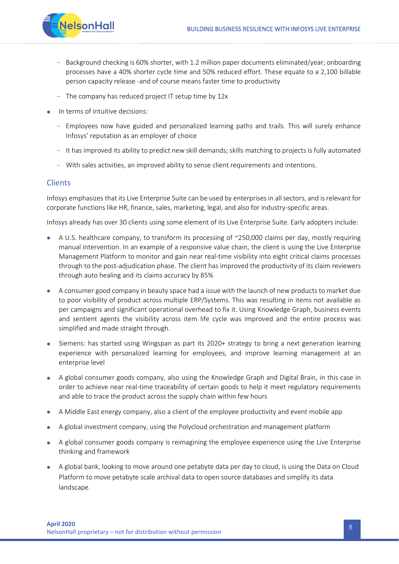

- Background checking is 60% shorter, with 1.2 million paper documents eliminated/year; onboarding processes have a 40% shorter cycle time and 50% reduced effort. These equate to a 2,100 billable person capacity release -and of course means faster time to productivity
- The company has reduced project IT setup time by 12x
- In terms of intuitive decisions:
	- Employees now have guided and personalized learning paths and trails. This will surely enhance Infosys' reputation as an employer of choice
	- It has improved its ability to predict new skill demands; skills matching to projects is fully automated
	- With sales activities, an improved ability to sense client requirements and intentions.

### **Clients**

Infosys emphasizes that its Live Enterprise Suite can be used by enterprises in all sectors, and is relevant for corporate functions like HR, finance, sales, marketing, legal, and also for industry-specific areas.

Infosys already has over 30 clients using some element of its Live Enterprise Suite. Early adopters include:

- A U.S. healthcare company, to transform its processing of  $\sim$ 250,000 claims per day, mostly requiring manual intervention. In an example of a responsive value chain, the client is using the Live Enterprise Management Platform to monitor and gain near real-time visibility into eight critical claims processes through to the post-adjudication phase. The client has improved the productivity of its claim reviewers through auto healing and its claims accuracy by 85%
- A consumer good company in beauty space had a issue with the launch of new products to market due to poor visibility of product across multiple ERP/Systems. This was resulting in items not available as per campaigns and significant operational overhead to fix it. Using Knowledge Graph, business events and sentient agents the visibility across item life cycle was improved and the entire process was simplified and made straight through.
- Siemens: has started using Wingspan as part its 2020+ strategy to bring a next generation learning experience with personalized learning for employees, and improve learning management at an enterprise level
- A global consumer goods company, also using the Knowledge Graph and Digital Brain, in this case in order to achieve near real-time traceability of certain goods to help it meet regulatory requirements and able to trace the product across the supply chain within few hours
- A Middle East energy company, also a client of the employee productivity and event mobile app
- A global investment company, using the Polycloud orchestration and management platform
- A global consumer goods company is reimagining the employee experience using the Live Enterprise thinking and framework
- A global bank, looking to move around one petabyte data per day to cloud, is using the Data on Cloud Platform to move petabyte scale archival data to open source databases and simplify its data landscape.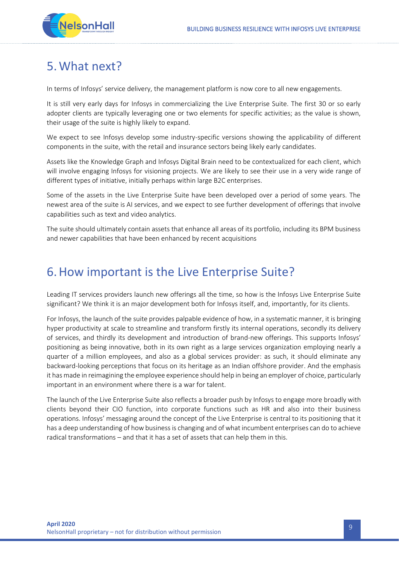

## <span id="page-9-0"></span>5.What next?

In terms of Infosys' service delivery, the management platform is now core to all new engagements.

It is still very early days for Infosys in commercializing the Live Enterprise Suite. The first 30 or so early adopter clients are typically leveraging one or two elements for specific activities; as the value is shown, their usage of the suite is highly likely to expand.

We expect to see Infosys develop some industry-specific versions showing the applicability of different components in the suite, with the retail and insurance sectors being likely early candidates.

Assets like the Knowledge Graph and Infosys Digital Brain need to be contextualized for each client, which will involve engaging Infosys for visioning projects. We are likely to see their use in a very wide range of different types of initiative, initially perhaps within large B2C enterprises.

Some of the assets in the Live Enterprise Suite have been developed over a period of some years. The newest area of the suite is AI services, and we expect to see further development of offerings that involve capabilities such as text and video analytics.

The suite should ultimately contain assets that enhance all areas of its portfolio, including its BPM business and newer capabilities that have been enhanced by recent acquisitions

### <span id="page-9-1"></span>6.How important is the Live Enterprise Suite?

Leading IT services providers launch new offerings all the time, so how is the Infosys Live Enterprise Suite significant? We think it is an major development both for Infosys itself, and, importantly, for its clients.

For Infosys, the launch of the suite provides palpable evidence of how, in a systematic manner, it is bringing hyper productivity at scale to streamline and transform firstly its internal operations, secondly its delivery of services, and thirdly its development and introduction of brand-new offerings. This supports Infosys' positioning as being innovative, both in its own right as a large services organization employing nearly a quarter of a million employees, and also as a global services provider: as such, it should eliminate any backward-looking perceptions that focus on its heritage as an Indian offshore provider. And the emphasis it has made in reimagining the employee experience should help in being an employer of choice, particularly important in an environment where there is a war for talent.

The launch of the Live Enterprise Suite also reflects a broader push by Infosys to engage more broadly with clients beyond their CIO function, into corporate functions such as HR and also into their business operations. Infosys' messaging around the concept of the Live Enterprise is central to its positioning that it has a deep understanding of how business is changing and of what incumbent enterprises can do to achieve radical transformations – and that it has a set of assets that can help them in this.